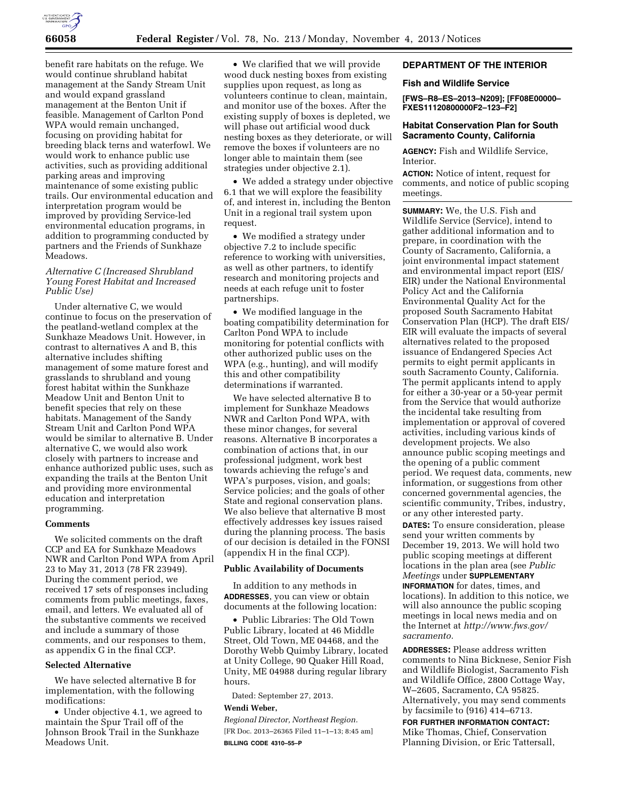

benefit rare habitats on the refuge. We would continue shrubland habitat management at the Sandy Stream Unit and would expand grassland management at the Benton Unit if feasible. Management of Carlton Pond WPA would remain unchanged, focusing on providing habitat for breeding black terns and waterfowl. We would work to enhance public use activities, such as providing additional parking areas and improving maintenance of some existing public trails. Our environmental education and interpretation program would be improved by providing Service-led environmental education programs, in addition to programming conducted by partners and the Friends of Sunkhaze Meadows.

# *Alternative C (Increased Shrubland Young Forest Habitat and Increased Public Use)*

Under alternative C, we would continue to focus on the preservation of the peatland-wetland complex at the Sunkhaze Meadows Unit. However, in contrast to alternatives A and B, this alternative includes shifting management of some mature forest and grasslands to shrubland and young forest habitat within the Sunkhaze Meadow Unit and Benton Unit to benefit species that rely on these habitats. Management of the Sandy Stream Unit and Carlton Pond WPA would be similar to alternative B. Under alternative C, we would also work closely with partners to increase and enhance authorized public uses, such as expanding the trails at the Benton Unit and providing more environmental education and interpretation programming.

#### **Comments**

We solicited comments on the draft CCP and EA for Sunkhaze Meadows NWR and Carlton Pond WPA from April 23 to May 31, 2013 (78 FR 23949). During the comment period, we received 17 sets of responses including comments from public meetings, faxes, email, and letters. We evaluated all of the substantive comments we received and include a summary of those comments, and our responses to them, as appendix G in the final CCP.

#### **Selected Alternative**

We have selected alternative B for implementation, with the following modifications:

• Under objective 4.1, we agreed to maintain the Spur Trail off of the Johnson Brook Trail in the Sunkhaze Meadows Unit.

• We clarified that we will provide wood duck nesting boxes from existing supplies upon request, as long as volunteers continue to clean, maintain, and monitor use of the boxes. After the existing supply of boxes is depleted, we will phase out artificial wood duck nesting boxes as they deteriorate, or will remove the boxes if volunteers are no longer able to maintain them (see strategies under objective 2.1).

• We added a strategy under objective 6.1 that we will explore the feasibility of, and interest in, including the Benton Unit in a regional trail system upon request.

• We modified a strategy under objective 7.2 to include specific reference to working with universities, as well as other partners, to identify research and monitoring projects and needs at each refuge unit to foster partnerships.

• We modified language in the boating compatibility determination for Carlton Pond WPA to include monitoring for potential conflicts with other authorized public uses on the WPA (e.g., hunting), and will modify this and other compatibility determinations if warranted.

We have selected alternative B to implement for Sunkhaze Meadows NWR and Carlton Pond WPA, with these minor changes, for several reasons. Alternative B incorporates a combination of actions that, in our professional judgment, work best towards achieving the refuge's and WPA's purposes, vision, and goals; Service policies; and the goals of other State and regional conservation plans. We also believe that alternative B most effectively addresses key issues raised during the planning process. The basis of our decision is detailed in the FONSI (appendix H in the final CCP).

# **Public Availability of Documents**

In addition to any methods in **ADDRESSES**, you can view or obtain documents at the following location:

• Public Libraries: The Old Town Public Library, located at 46 Middle Street, Old Town, ME 04468, and the Dorothy Webb Quimby Library, located at Unity College, 90 Quaker Hill Road, Unity, ME 04988 during regular library hours.

Dated: September 27, 2013.

#### **Wendi Weber,**

*Regional Director, Northeast Region.*  [FR Doc. 2013–26365 Filed 11–1–13; 8:45 am] **BILLING CODE 4310–55–P** 

## **DEPARTMENT OF THE INTERIOR**

### **Fish and Wildlife Service**

**[FWS–R8–ES–2013–N209]; [FF08E00000– FXES11120800000F2–123–F2]** 

## **Habitat Conservation Plan for South Sacramento County, California**

**AGENCY:** Fish and Wildlife Service, Interior.

**ACTION:** Notice of intent, request for comments, and notice of public scoping meetings.

**SUMMARY:** We, the U.S. Fish and Wildlife Service (Service), intend to gather additional information and to prepare, in coordination with the County of Sacramento, California, a joint environmental impact statement and environmental impact report (EIS/ EIR) under the National Environmental Policy Act and the California Environmental Quality Act for the proposed South Sacramento Habitat Conservation Plan (HCP). The draft EIS/ EIR will evaluate the impacts of several alternatives related to the proposed issuance of Endangered Species Act permits to eight permit applicants in south Sacramento County, California. The permit applicants intend to apply for either a 30-year or a 50-year permit from the Service that would authorize the incidental take resulting from implementation or approval of covered activities, including various kinds of development projects. We also announce public scoping meetings and the opening of a public comment period. We request data, comments, new information, or suggestions from other concerned governmental agencies, the scientific community, Tribes, industry, or any other interested party.

**DATES:** To ensure consideration, please send your written comments by December 19, 2013. We will hold two public scoping meetings at different locations in the plan area (see *Public Meetings* under **SUPPLEMENTARY INFORMATION** for dates, times, and locations). In addition to this notice, we will also announce the public scoping meetings in local news media and on the Internet at *[http://www.fws.gov/](http://www.fws.gov/sacramento)  [sacramento.](http://www.fws.gov/sacramento)* 

**ADDRESSES:** Please address written comments to Nina Bicknese, Senior Fish and Wildlife Biologist, Sacramento Fish and Wildlife Office, 2800 Cottage Way, W–2605, Sacramento, CA 95825. Alternatively, you may send comments by facsimile to (916) 414–6713.

**FOR FURTHER INFORMATION CONTACT:**  Mike Thomas, Chief, Conservation Planning Division, or Eric Tattersall,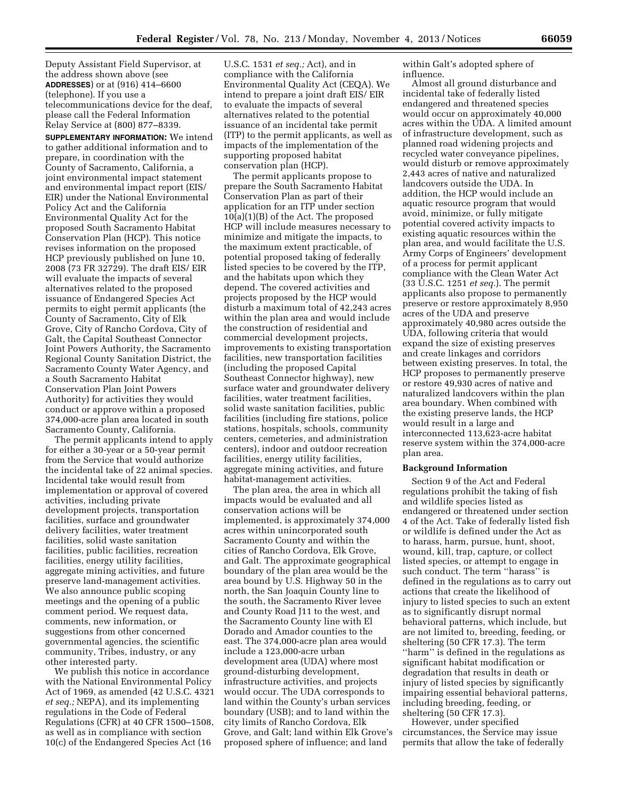Deputy Assistant Field Supervisor, at the address shown above (see **ADDRESSES**) or at (916) 414–6600 (telephone). If you use a telecommunications device for the deaf, please call the Federal Information Relay Service at (800) 877–8339.

**SUPPLEMENTARY INFORMATION:** We intend to gather additional information and to prepare, in coordination with the County of Sacramento, California, a joint environmental impact statement and environmental impact report (EIS/ EIR) under the National Environmental Policy Act and the California Environmental Quality Act for the proposed South Sacramento Habitat Conservation Plan (HCP). This notice revises information on the proposed HCP previously published on June 10, 2008 (73 FR 32729). The draft EIS/ EIR will evaluate the impacts of several alternatives related to the proposed issuance of Endangered Species Act permits to eight permit applicants (the County of Sacramento, City of Elk Grove, City of Rancho Cordova, City of Galt, the Capital Southeast Connector Joint Powers Authority, the Sacramento Regional County Sanitation District, the Sacramento County Water Agency, and a South Sacramento Habitat Conservation Plan Joint Powers Authority) for activities they would conduct or approve within a proposed 374,000-acre plan area located in south Sacramento County, California.

The permit applicants intend to apply for either a 30-year or a 50-year permit from the Service that would authorize the incidental take of 22 animal species. Incidental take would result from implementation or approval of covered activities, including private development projects, transportation facilities, surface and groundwater delivery facilities, water treatment facilities, solid waste sanitation facilities, public facilities, recreation facilities, energy utility facilities, aggregate mining activities, and future preserve land-management activities. We also announce public scoping meetings and the opening of a public comment period. We request data, comments, new information, or suggestions from other concerned governmental agencies, the scientific community, Tribes, industry, or any other interested party.

We publish this notice in accordance with the National Environmental Policy Act of 1969, as amended (42 U.S.C. 4321 *et seq.;* NEPA), and its implementing regulations in the Code of Federal Regulations (CFR) at 40 CFR 1500–1508, as well as in compliance with section 10(c) of the Endangered Species Act (16

U.S.C. 1531 *et seq.;* Act), and in compliance with the California Environmental Quality Act (CEQA). We intend to prepare a joint draft EIS/ EIR to evaluate the impacts of several alternatives related to the potential issuance of an incidental take permit (ITP) to the permit applicants, as well as impacts of the implementation of the supporting proposed habitat conservation plan (HCP).

The permit applicants propose to prepare the South Sacramento Habitat Conservation Plan as part of their application for an ITP under section 10(a)(1)(B) of the Act. The proposed HCP will include measures necessary to minimize and mitigate the impacts, to the maximum extent practicable, of potential proposed taking of federally listed species to be covered by the ITP, and the habitats upon which they depend. The covered activities and projects proposed by the HCP would disturb a maximum total of 42,243 acres within the plan area and would include the construction of residential and commercial development projects, improvements to existing transportation facilities, new transportation facilities (including the proposed Capital Southeast Connector highway), new surface water and groundwater delivery facilities, water treatment facilities, solid waste sanitation facilities, public facilities (including fire stations, police stations, hospitals, schools, community centers, cemeteries, and administration centers), indoor and outdoor recreation facilities, energy utility facilities, aggregate mining activities, and future habitat-management activities.

The plan area, the area in which all impacts would be evaluated and all conservation actions will be implemented, is approximately 374,000 acres within unincorporated south Sacramento County and within the cities of Rancho Cordova, Elk Grove, and Galt. The approximate geographical boundary of the plan area would be the area bound by U.S. Highway 50 in the north, the San Joaquin County line to the south, the Sacramento River levee and County Road J11 to the west, and the Sacramento County line with El Dorado and Amador counties to the east. The 374,000-acre plan area would include a 123,000-acre urban development area (UDA) where most ground-disturbing development, infrastructure activities, and projects would occur. The UDA corresponds to land within the County's urban services boundary (USB); and to land within the city limits of Rancho Cordova, Elk Grove, and Galt; land within Elk Grove's proposed sphere of influence; and land

within Galt's adopted sphere of influence.

Almost all ground disturbance and incidental take of federally listed endangered and threatened species would occur on approximately 40,000 acres within the UDA. A limited amount of infrastructure development, such as planned road widening projects and recycled water conveyance pipelines, would disturb or remove approximately 2,443 acres of native and naturalized landcovers outside the UDA. In addition, the HCP would include an aquatic resource program that would avoid, minimize, or fully mitigate potential covered activity impacts to existing aquatic resources within the plan area, and would facilitate the U.S. Army Corps of Engineers' development of a process for permit applicant compliance with the Clean Water Act (33 U.S.C. 1251 *et seq.*). The permit applicants also propose to permanently preserve or restore approximately 8,950 acres of the UDA and preserve approximately 40,980 acres outside the UDA, following criteria that would expand the size of existing preserves and create linkages and corridors between existing preserves. In total, the HCP proposes to permanently preserve or restore 49,930 acres of native and naturalized landcovers within the plan area boundary. When combined with the existing preserve lands, the HCP would result in a large and interconnected 113,623-acre habitat reserve system within the 374,000-acre plan area.

### **Background Information**

Section 9 of the Act and Federal regulations prohibit the taking of fish and wildlife species listed as endangered or threatened under section 4 of the Act. Take of federally listed fish or wildlife is defined under the Act as to harass, harm, pursue, hunt, shoot, wound, kill, trap, capture, or collect listed species, or attempt to engage in such conduct. The term ''harass'' is defined in the regulations as to carry out actions that create the likelihood of injury to listed species to such an extent as to significantly disrupt normal behavioral patterns, which include, but are not limited to, breeding, feeding, or sheltering (50 CFR 17.3). The term ''harm'' is defined in the regulations as significant habitat modification or degradation that results in death or injury of listed species by significantly impairing essential behavioral patterns, including breeding, feeding, or sheltering (50 CFR 17.3).

However, under specified circumstances, the Service may issue permits that allow the take of federally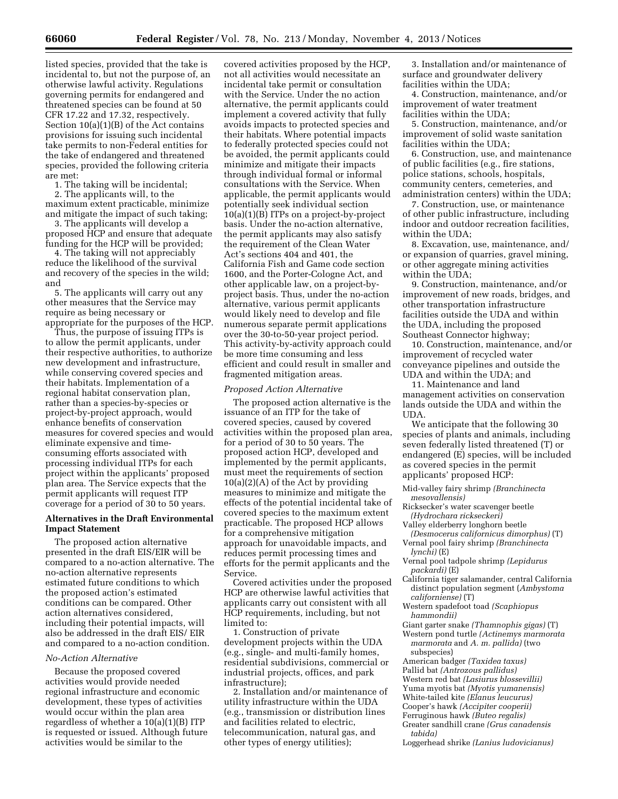listed species, provided that the take is incidental to, but not the purpose of, an otherwise lawful activity. Regulations governing permits for endangered and threatened species can be found at 50 CFR 17.22 and 17.32, respectively. Section 10(a)(1)(B) of the Act contains provisions for issuing such incidental take permits to non-Federal entities for the take of endangered and threatened species, provided the following criteria are met:

1. The taking will be incidental;

2. The applicants will, to the maximum extent practicable, minimize and mitigate the impact of such taking;

3. The applicants will develop a proposed HCP and ensure that adequate funding for the HCP will be provided;

4. The taking will not appreciably reduce the likelihood of the survival and recovery of the species in the wild; and

5. The applicants will carry out any other measures that the Service may require as being necessary or appropriate for the purposes of the HCP.

Thus, the purpose of issuing ITPs is to allow the permit applicants, under their respective authorities, to authorize new development and infrastructure, while conserving covered species and their habitats. Implementation of a regional habitat conservation plan, rather than a species-by-species or project-by-project approach, would enhance benefits of conservation measures for covered species and would eliminate expensive and timeconsuming efforts associated with processing individual ITPs for each project within the applicants' proposed plan area. The Service expects that the permit applicants will request ITP coverage for a period of 30 to 50 years.

## **Alternatives in the Draft Environmental Impact Statement**

The proposed action alternative presented in the draft EIS/EIR will be compared to a no-action alternative. The no-action alternative represents estimated future conditions to which the proposed action's estimated conditions can be compared. Other action alternatives considered, including their potential impacts, will also be addressed in the draft EIS/ EIR and compared to a no-action condition.

### *No-Action Alternative*

Because the proposed covered activities would provide needed regional infrastructure and economic development, these types of activities would occur within the plan area regardless of whether a 10(a)(1)(B) ITP is requested or issued. Although future activities would be similar to the

covered activities proposed by the HCP, not all activities would necessitate an incidental take permit or consultation with the Service. Under the no action alternative, the permit applicants could implement a covered activity that fully avoids impacts to protected species and their habitats. Where potential impacts to federally protected species could not be avoided, the permit applicants could minimize and mitigate their impacts through individual formal or informal consultations with the Service. When applicable, the permit applicants would potentially seek individual section 10(a)(1)(B) ITPs on a project-by-project basis. Under the no-action alternative, the permit applicants may also satisfy the requirement of the Clean Water Act's sections 404 and 401, the California Fish and Game code section 1600, and the Porter-Cologne Act, and other applicable law, on a project-byproject basis. Thus, under the no-action alternative, various permit applicants would likely need to develop and file numerous separate permit applications over the 30-to-50-year project period. This activity-by-activity approach could be more time consuming and less efficient and could result in smaller and fragmented mitigation areas.

#### *Proposed Action Alternative*

The proposed action alternative is the issuance of an ITP for the take of covered species, caused by covered activities within the proposed plan area, for a period of 30 to 50 years. The proposed action HCP, developed and implemented by the permit applicants, must meet the requirements of section  $10(a)(2)(A)$  of the Act by providing measures to minimize and mitigate the effects of the potential incidental take of covered species to the maximum extent practicable. The proposed HCP allows for a comprehensive mitigation approach for unavoidable impacts, and reduces permit processing times and efforts for the permit applicants and the Service.

Covered activities under the proposed HCP are otherwise lawful activities that applicants carry out consistent with all HCP requirements, including, but not limited to:

1. Construction of private development projects within the UDA (e.g., single- and multi-family homes, residential subdivisions, commercial or industrial projects, offices, and park infrastructure);

2. Installation and/or maintenance of utility infrastructure within the UDA (e.g., transmission or distribution lines and facilities related to electric, telecommunication, natural gas, and other types of energy utilities);

3. Installation and/or maintenance of surface and groundwater delivery facilities within the UDA;

4. Construction, maintenance, and/or improvement of water treatment facilities within the UDA;

5. Construction, maintenance, and/or improvement of solid waste sanitation facilities within the UDA;

6. Construction, use, and maintenance of public facilities (e.g., fire stations, police stations, schools, hospitals, community centers, cemeteries, and administration centers) within the UDA;

7. Construction, use, or maintenance of other public infrastructure, including indoor and outdoor recreation facilities, within the UDA;

8. Excavation, use, maintenance, and/ or expansion of quarries, gravel mining, or other aggregate mining activities within the UDA;

9. Construction, maintenance, and/or improvement of new roads, bridges, and other transportation infrastructure facilities outside the UDA and within the UDA, including the proposed Southeast Connector highway;

10. Construction, maintenance, and/or improvement of recycled water conveyance pipelines and outside the UDA and within the UDA; and

11. Maintenance and land management activities on conservation lands outside the UDA and within the UDA.

We anticipate that the following 30 species of plants and animals, including seven federally listed threatened (T) or endangered (E) species, will be included as covered species in the permit applicants' proposed HCP:

Mid-valley fairy shrimp *(Branchinecta mesovallensis)* 

Ricksecker's water scavenger beetle *(Hydrochara rickseckeri)* 

- Valley elderberry longhorn beetle *(Desmocerus californicus dimorphus)* (T)
- Vernal pool fairy shrimp *(Branchinecta lynchi)* (E)

Vernal pool tadpole shrimp *(Lepidurus packardi)* (E)

- California tiger salamander, central California distinct population segment (*Ambystoma californiense)* (T)
- Western spadefoot toad *(Scaphiopus hammondii)*

Giant garter snake *(Thamnophis gigas)* (T)

Western pond turtle *(Actinemys marmorata marmorata* and *A. m. pallida)* (two subspecies)

American badger *(Taxidea taxus)* 

Pallid bat *(Antrozous pallidus)* 

Western red bat *(Lasiurus blossevillii)* 

Yuma myotis bat *(Myotis yumanensis)* 

White-tailed kite *(Elanus leucurus)*  Cooper's hawk *(Accipiter cooperii)* 

Ferruginous hawk *(Buteo regalis)* 

Greater sandhill crane *(Grus canadensis tabida)* 

Loggerhead shrike *(Lanius ludovicianus)*